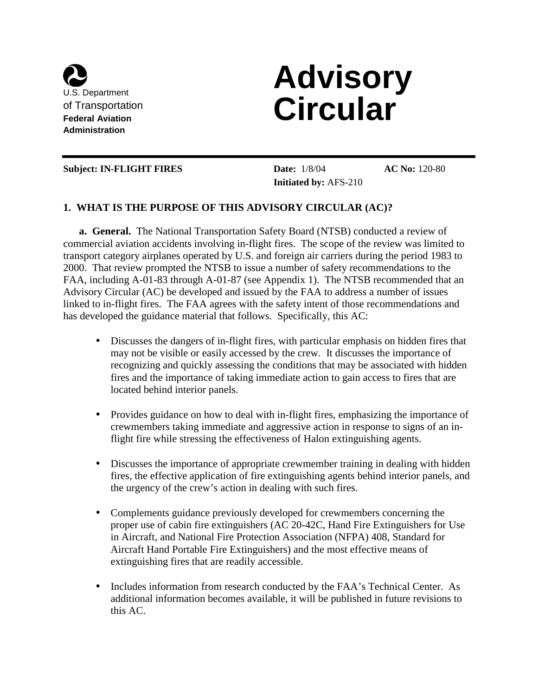

# **Advisory Circular**

#### **Subject: IN-FLIGHT FIRES Date:** 1/8/04

**Initiated by:** AFS-210

**AC No:** 120-80

#### **1. WHAT IS THE PURPOSE OF THIS ADVISORY CIRCULAR (AC)?**

**a. General.** The National Transportation Safety Board (NTSB) conducted a review of commercial aviation accidents involving in-flight fires. The scope of the review was limited to transport category airplanes operated by U.S. and foreign air carriers during the period 1983 to 2000. That review prompted the NTSB to issue a number of safety recommendations to the FAA, including A-01-83 through A-01-87 (see Appendix 1). The NTSB recommended that an Advisory Circular (AC) be developed and issued by the FAA to address a number of issues linked to in-flight fires. The FAA agrees with the safety intent of those recommendations and has developed the guidance material that follows. Specifically, this AC:

- Discusses the dangers of in-flight fires, with particular emphasis on hidden fires that may not be visible or easily accessed by the crew. It discusses the importance of recognizing and quickly assessing the conditions that may be associated with hidden fires and the importance of taking immediate action to gain access to fires that are located behind interior panels.
- Provides guidance on how to deal with in-flight fires, emphasizing the importance of crewmembers taking immediate and aggressive action in response to signs of an inflight fire while stressing the effectiveness of Halon extinguishing agents.
- Discusses the importance of appropriate crewmember training in dealing with hidden fires, the effective application of fire extinguishing agents behind interior panels, and the urgency of the crew's action in dealing with such fires.
- Complements guidance previously developed for crewmembers concerning the proper use of cabin fire extinguishers (AC 20-42C, Hand Fire Extinguishers for Use in Aircraft, and National Fire Protection Association (NFPA) 408, Standard for Aircraft Hand Portable Fire Extinguishers) and the most effective means of extinguishing fires that are readily accessible.
- Includes information from research conducted by the FAA's Technical Center. As additional information becomes available, it will be published in future revisions to this AC.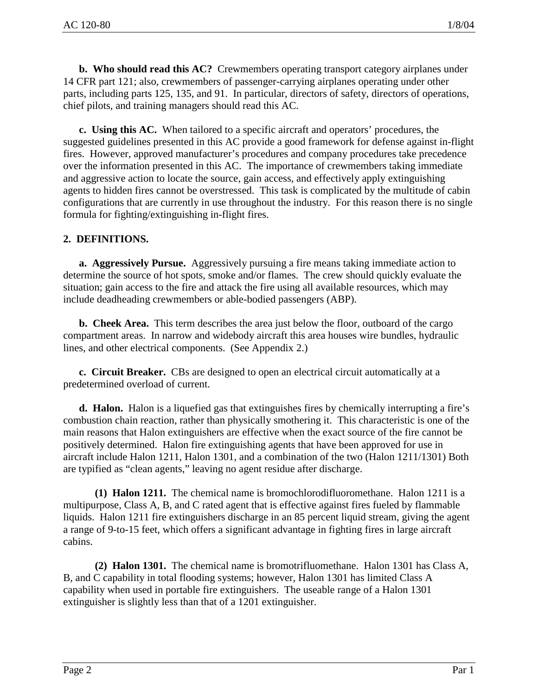**b. Who should read this AC?** Crewmembers operating transport category airplanes under 14 CFR part 121; also, crewmembers of passenger-carrying airplanes operating under other parts, including parts 125, 135, and 91. In particular, directors of safety, directors of operations, chief pilots, and training managers should read this AC.

**c. Using this AC.** When tailored to a specific aircraft and operators' procedures, the suggested guidelines presented in this AC provide a good framework for defense against in-flight fires. However, approved manufacturer's procedures and company procedures take precedence over the information presented in this AC. The importance of crewmembers taking immediate and aggressive action to locate the source, gain access, and effectively apply extinguishing agents to hidden fires cannot be overstressed. This task is complicated by the multitude of cabin configurations that are currently in use throughout the industry. For this reason there is no single formula for fighting/extinguishing in-flight fires.

#### **2. DEFINITIONS.**

**a. Aggressively Pursue.** Aggressively pursuing a fire means taking immediate action to determine the source of hot spots, smoke and/or flames. The crew should quickly evaluate the situation; gain access to the fire and attack the fire using all available resources, which may include deadheading crewmembers or able-bodied passengers (ABP).

**b. Cheek Area.** This term describes the area just below the floor, outboard of the cargo compartment areas. In narrow and widebody aircraft this area houses wire bundles, hydraulic lines, and other electrical components. (See Appendix 2.)

**c. Circuit Breaker.** CBs are designed to open an electrical circuit automatically at a predetermined overload of current.

**d. Halon.** Halon is a liquefied gas that extinguishes fires by chemically interrupting a fire's combustion chain reaction, rather than physically smothering it. This characteristic is one of the main reasons that Halon extinguishers are effective when the exact source of the fire cannot be positively determined. Halon fire extinguishing agents that have been approved for use in aircraft include Halon 1211, Halon 1301, and a combination of the two (Halon 1211/1301) Both are typified as "clean agents," leaving no agent residue after discharge.

**(1) Halon 1211.** The chemical name is bromochlorodifluoromethane. Halon 1211 is a multipurpose, Class A, B, and C rated agent that is effective against fires fueled by flammable liquids. Halon 1211 fire extinguishers discharge in an 85 percent liquid stream, giving the agent a range of 9-to-15 feet, which offers a significant advantage in fighting fires in large aircraft cabins.

**(2) Halon 1301.** The chemical name is bromotrifluomethane. Halon 1301 has Class A, B, and C capability in total flooding systems; however, Halon 1301 has limited Class A capability when used in portable fire extinguishers. The useable range of a Halon 1301 extinguisher is slightly less than that of a 1201 extinguisher.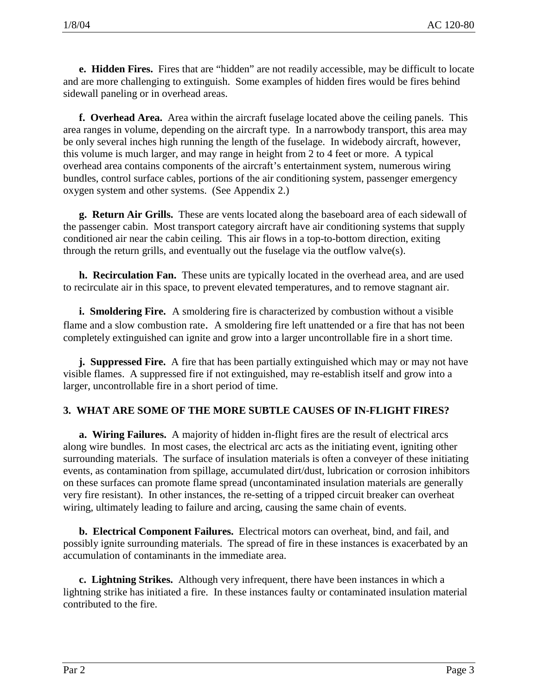**e. Hidden Fires.** Fires that are "hidden" are not readily accessible, may be difficult to locate and are more challenging to extinguish. Some examples of hidden fires would be fires behind sidewall paneling or in overhead areas.

**f. Overhead Area.** Area within the aircraft fuselage located above the ceiling panels. This area ranges in volume, depending on the aircraft type. In a narrowbody transport, this area may be only several inches high running the length of the fuselage. In widebody aircraft, however, this volume is much larger, and may range in height from 2 to 4 feet or more. A typical overhead area contains components of the aircraft's entertainment system, numerous wiring bundles, control surface cables, portions of the air conditioning system, passenger emergency oxygen system and other systems. (See Appendix 2.)

**g. Return Air Grills.** These are vents located along the baseboard area of each sidewall of the passenger cabin. Most transport category aircraft have air conditioning systems that supply conditioned air near the cabin ceiling. This air flows in a top-to-bottom direction, exiting through the return grills, and eventually out the fuselage via the outflow valve(s).

**h. Recirculation Fan.** These units are typically located in the overhead area, and are used to recirculate air in this space, to prevent elevated temperatures, and to remove stagnant air.

**i. Smoldering Fire.** A smoldering fire is characterized by combustion without a visible flame and a slow combustion rate. A smoldering fire left unattended or a fire that has not been completely extinguished can ignite and grow into a larger uncontrollable fire in a short time.

**j. Suppressed Fire.** A fire that has been partially extinguished which may or may not have visible flames. A suppressed fire if not extinguished, may re-establish itself and grow into a larger, uncontrollable fire in a short period of time.

#### **3. WHAT ARE SOME OF THE MORE SUBTLE CAUSES OF IN-FLIGHT FIRES?**

**a. Wiring Failures.** A majority of hidden in-flight fires are the result of electrical arcs along wire bundles. In most cases, the electrical arc acts as the initiating event, igniting other surrounding materials. The surface of insulation materials is often a conveyer of these initiating events, as contamination from spillage, accumulated dirt/dust, lubrication or corrosion inhibitors on these surfaces can promote flame spread (uncontaminated insulation materials are generally very fire resistant). In other instances, the re-setting of a tripped circuit breaker can overheat wiring, ultimately leading to failure and arcing, causing the same chain of events.

**b. Electrical Component Failures.** Electrical motors can overheat, bind, and fail, and possibly ignite surrounding materials. The spread of fire in these instances is exacerbated by an accumulation of contaminants in the immediate area.

**c. Lightning Strikes.** Although very infrequent, there have been instances in which a lightning strike has initiated a fire. In these instances faulty or contaminated insulation material contributed to the fire.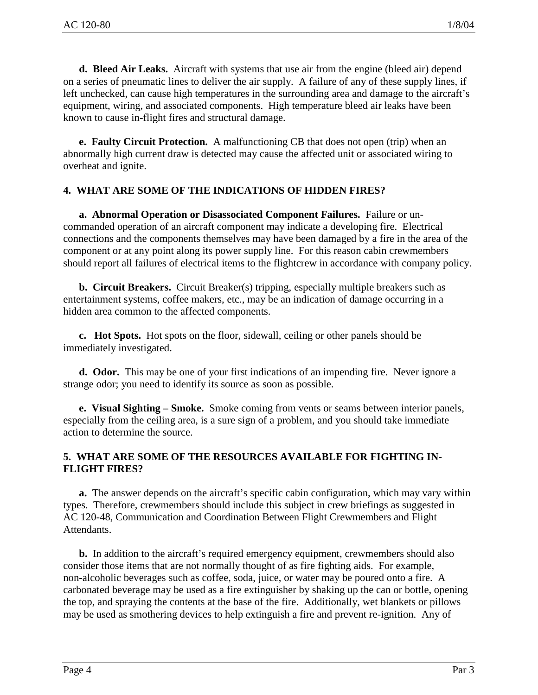**d. Bleed Air Leaks.** Aircraft with systems that use air from the engine (bleed air) depend on a series of pneumatic lines to deliver the air supply. A failure of any of these supply lines, if left unchecked, can cause high temperatures in the surrounding area and damage to the aircraft's equipment, wiring, and associated components. High temperature bleed air leaks have been known to cause in-flight fires and structural damage.

**e. Faulty Circuit Protection.** A malfunctioning CB that does not open (trip) when an abnormally high current draw is detected may cause the affected unit or associated wiring to overheat and ignite.

# **4. WHAT ARE SOME OF THE INDICATIONS OF HIDDEN FIRES?**

**a. Abnormal Operation or Disassociated Component Failures.** Failure or uncommanded operation of an aircraft component may indicate a developing fire. Electrical connections and the components themselves may have been damaged by a fire in the area of the component or at any point along its power supply line. For this reason cabin crewmembers should report all failures of electrical items to the flightcrew in accordance with company policy.

**b. Circuit Breakers.** Circuit Breaker(s) tripping, especially multiple breakers such as entertainment systems, coffee makers, etc., may be an indication of damage occurring in a hidden area common to the affected components.

**c. Hot Spots.** Hot spots on the floor, sidewall, ceiling or other panels should be immediately investigated.

**d. Odor.** This may be one of your first indications of an impending fire. Never ignore a strange odor; you need to identify its source as soon as possible.

**e. Visual Sighting – Smoke.** Smoke coming from vents or seams between interior panels, especially from the ceiling area, is a sure sign of a problem, and you should take immediate action to determine the source.

#### **5. WHAT ARE SOME OF THE RESOURCES AVAILABLE FOR FIGHTING IN-FLIGHT FIRES?**

**a.** The answer depends on the aircraft's specific cabin configuration, which may vary within types. Therefore, crewmembers should include this subject in crew briefings as suggested in AC 120-48, Communication and Coordination Between Flight Crewmembers and Flight Attendants.

**b.** In addition to the aircraft's required emergency equipment, crewmembers should also consider those items that are not normally thought of as fire fighting aids. For example, non-alcoholic beverages such as coffee, soda, juice, or water may be poured onto a fire. A carbonated beverage may be used as a fire extinguisher by shaking up the can or bottle, opening the top, and spraying the contents at the base of the fire. Additionally, wet blankets or pillows may be used as smothering devices to help extinguish a fire and prevent re-ignition. Any of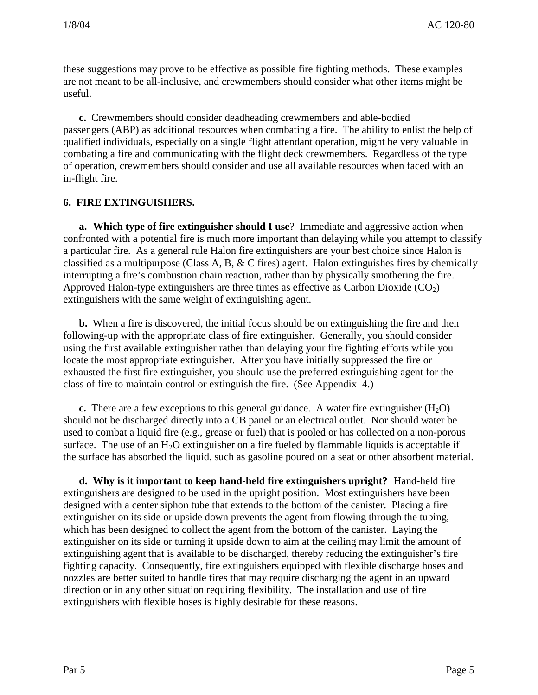these suggestions may prove to be effective as possible fire fighting methods. These examples are not meant to be all-inclusive, and crewmembers should consider what other items might be useful.

**c.** Crewmembers should consider deadheading crewmembers and able-bodied passengers (ABP) as additional resources when combating a fire. The ability to enlist the help of qualified individuals, especially on a single flight attendant operation, might be very valuable in combating a fire and communicating with the flight deck crewmembers. Regardless of the type of operation, crewmembers should consider and use all available resources when faced with an in-flight fire.

#### **6. FIRE EXTINGUISHERS.**

**a. Which type of fire extinguisher should I use**? Immediate and aggressive action when confronted with a potential fire is much more important than delaying while you attempt to classify a particular fire. As a general rule Halon fire extinguishers are your best choice since Halon is classified as a multipurpose (Class A, B, & C fires) agent. Halon extinguishes fires by chemically interrupting a fire's combustion chain reaction, rather than by physically smothering the fire. Approved Halon-type extinguishers are three times as effective as Carbon Dioxide  $(CO<sub>2</sub>)$ extinguishers with the same weight of extinguishing agent.

**b.** When a fire is discovered, the initial focus should be on extinguishing the fire and then following-up with the appropriate class of fire extinguisher. Generally, you should consider using the first available extinguisher rather than delaying your fire fighting efforts while you locate the most appropriate extinguisher. After you have initially suppressed the fire or exhausted the first fire extinguisher, you should use the preferred extinguishing agent for the class of fire to maintain control or extinguish the fire. (See Appendix 4.)

**c.** There are a few exceptions to this general guidance. A water fire extinguisher  $(H_2O)$ should not be discharged directly into a CB panel or an electrical outlet. Nor should water be used to combat a liquid fire (e.g., grease or fuel) that is pooled or has collected on a non-porous surface. The use of an  $H_2O$  extinguisher on a fire fueled by flammable liquids is acceptable if the surface has absorbed the liquid, such as gasoline poured on a seat or other absorbent material.

**d. Why is it important to keep hand-held fire extinguishers upright?** Hand-held fire extinguishers are designed to be used in the upright position. Most extinguishers have been designed with a center siphon tube that extends to the bottom of the canister. Placing a fire extinguisher on its side or upside down prevents the agent from flowing through the tubing, which has been designed to collect the agent from the bottom of the canister. Laying the extinguisher on its side or turning it upside down to aim at the ceiling may limit the amount of extinguishing agent that is available to be discharged, thereby reducing the extinguisher's fire fighting capacity. Consequently, fire extinguishers equipped with flexible discharge hoses and nozzles are better suited to handle fires that may require discharging the agent in an upward direction or in any other situation requiring flexibility. The installation and use of fire extinguishers with flexible hoses is highly desirable for these reasons.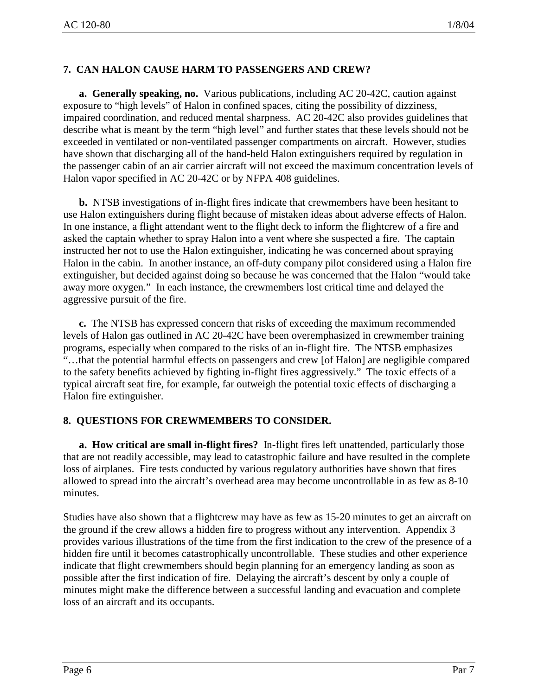# **7. CAN HALON CAUSE HARM TO PASSENGERS AND CREW?**

**a. Generally speaking, no.** Various publications, including AC 20-42C, caution against exposure to "high levels" of Halon in confined spaces, citing the possibility of dizziness, impaired coordination, and reduced mental sharpness. AC 20-42C also provides guidelines that describe what is meant by the term "high level" and further states that these levels should not be exceeded in ventilated or non-ventilated passenger compartments on aircraft. However, studies have shown that discharging all of the hand-held Halon extinguishers required by regulation in the passenger cabin of an air carrier aircraft will not exceed the maximum concentration levels of Halon vapor specified in AC 20-42C or by NFPA 408 guidelines.

**b.** NTSB investigations of in-flight fires indicate that crewmembers have been hesitant to use Halon extinguishers during flight because of mistaken ideas about adverse effects of Halon. In one instance, a flight attendant went to the flight deck to inform the flightcrew of a fire and asked the captain whether to spray Halon into a vent where she suspected a fire. The captain instructed her not to use the Halon extinguisher, indicating he was concerned about spraying Halon in the cabin. In another instance, an off-duty company pilot considered using a Halon fire extinguisher, but decided against doing so because he was concerned that the Halon "would take away more oxygen." In each instance, the crewmembers lost critical time and delayed the aggressive pursuit of the fire.

**c.** The NTSB has expressed concern that risks of exceeding the maximum recommended levels of Halon gas outlined in AC 20-42C have been overemphasized in crewmember training programs, especially when compared to the risks of an in-flight fire. The NTSB emphasizes "…that the potential harmful effects on passengers and crew [of Halon] are negligible compared to the safety benefits achieved by fighting in-flight fires aggressively." The toxic effects of a typical aircraft seat fire, for example, far outweigh the potential toxic effects of discharging a Halon fire extinguisher.

# **8. QUESTIONS FOR CREWMEMBERS TO CONSIDER.**

**a. How critical are small in-flight fires?** In-flight fires left unattended, particularly those that are not readily accessible, may lead to catastrophic failure and have resulted in the complete loss of airplanes. Fire tests conducted by various regulatory authorities have shown that fires allowed to spread into the aircraft's overhead area may become uncontrollable in as few as 8-10 minutes.

Studies have also shown that a flightcrew may have as few as 15-20 minutes to get an aircraft on the ground if the crew allows a hidden fire to progress without any intervention. Appendix 3 provides various illustrations of the time from the first indication to the crew of the presence of a hidden fire until it becomes catastrophically uncontrollable. These studies and other experience indicate that flight crewmembers should begin planning for an emergency landing as soon as possible after the first indication of fire. Delaying the aircraft's descent by only a couple of minutes might make the difference between a successful landing and evacuation and complete loss of an aircraft and its occupants.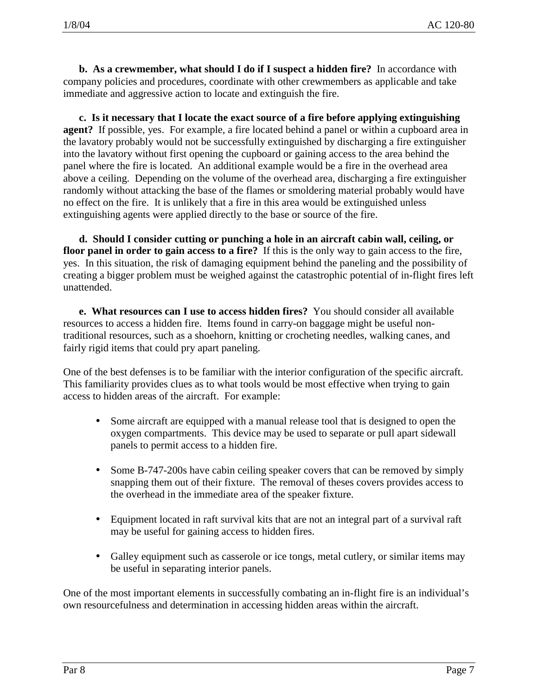**b. As a crewmember, what should I do if I suspect a hidden fire?** In accordance with company policies and procedures, coordinate with other crewmembers as applicable and take immediate and aggressive action to locate and extinguish the fire.

**c. Is it necessary that I locate the exact source of a fire before applying extinguishing agent?** If possible, yes. For example, a fire located behind a panel or within a cupboard area in the lavatory probably would not be successfully extinguished by discharging a fire extinguisher into the lavatory without first opening the cupboard or gaining access to the area behind the panel where the fire is located. An additional example would be a fire in the overhead area above a ceiling. Depending on the volume of the overhead area, discharging a fire extinguisher randomly without attacking the base of the flames or smoldering material probably would have no effect on the fire. It is unlikely that a fire in this area would be extinguished unless extinguishing agents were applied directly to the base or source of the fire.

**d. Should I consider cutting or punching a hole in an aircraft cabin wall, ceiling, or floor panel in order to gain access to a fire?** If this is the only way to gain access to the fire, yes. In this situation, the risk of damaging equipment behind the paneling and the possibility of creating a bigger problem must be weighed against the catastrophic potential of in-flight fires left unattended.

**e. What resources can I use to access hidden fires?** You should consider all available resources to access a hidden fire. Items found in carry-on baggage might be useful nontraditional resources, such as a shoehorn, knitting or crocheting needles, walking canes, and fairly rigid items that could pry apart paneling.

One of the best defenses is to be familiar with the interior configuration of the specific aircraft. This familiarity provides clues as to what tools would be most effective when trying to gain access to hidden areas of the aircraft. For example:

- Some aircraft are equipped with a manual release tool that is designed to open the oxygen compartments. This device may be used to separate or pull apart sidewall panels to permit access to a hidden fire.
- Some B-747-200s have cabin ceiling speaker covers that can be removed by simply snapping them out of their fixture. The removal of theses covers provides access to the overhead in the immediate area of the speaker fixture.
- Equipment located in raft survival kits that are not an integral part of a survival raft may be useful for gaining access to hidden fires.
- Galley equipment such as casserole or ice tongs, metal cutlery, or similar items may be useful in separating interior panels.

One of the most important elements in successfully combating an in-flight fire is an individual's own resourcefulness and determination in accessing hidden areas within the aircraft.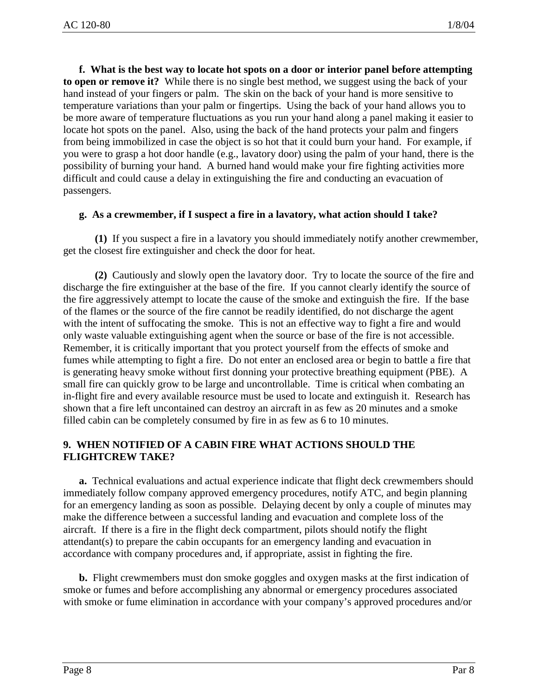**f. What is the best way to locate hot spots on a door or interior panel before attempting to open or remove it?** While there is no single best method, we suggest using the back of your hand instead of your fingers or palm. The skin on the back of your hand is more sensitive to temperature variations than your palm or fingertips. Using the back of your hand allows you to be more aware of temperature fluctuations as you run your hand along a panel making it easier to locate hot spots on the panel. Also, using the back of the hand protects your palm and fingers from being immobilized in case the object is so hot that it could burn your hand. For example, if you were to grasp a hot door handle (e.g., lavatory door) using the palm of your hand, there is the possibility of burning your hand. A burned hand would make your fire fighting activities more difficult and could cause a delay in extinguishing the fire and conducting an evacuation of passengers.

#### **g. As a crewmember, if I suspect a fire in a lavatory, what action should I take?**

**(1)** If you suspect a fire in a lavatory you should immediately notify another crewmember, get the closest fire extinguisher and check the door for heat.

**(2)** Cautiously and slowly open the lavatory door. Try to locate the source of the fire and discharge the fire extinguisher at the base of the fire. If you cannot clearly identify the source of the fire aggressively attempt to locate the cause of the smoke and extinguish the fire. If the base of the flames or the source of the fire cannot be readily identified, do not discharge the agent with the intent of suffocating the smoke. This is not an effective way to fight a fire and would only waste valuable extinguishing agent when the source or base of the fire is not accessible. Remember, it is critically important that you protect yourself from the effects of smoke and fumes while attempting to fight a fire. Do not enter an enclosed area or begin to battle a fire that is generating heavy smoke without first donning your protective breathing equipment (PBE). A small fire can quickly grow to be large and uncontrollable. Time is critical when combating an in-flight fire and every available resource must be used to locate and extinguish it. Research has shown that a fire left uncontained can destroy an aircraft in as few as 20 minutes and a smoke filled cabin can be completely consumed by fire in as few as 6 to 10 minutes.

#### **9. WHEN NOTIFIED OF A CABIN FIRE WHAT ACTIONS SHOULD THE FLIGHTCREW TAKE?**

**a.** Technical evaluations and actual experience indicate that flight deck crewmembers should immediately follow company approved emergency procedures, notify ATC, and begin planning for an emergency landing as soon as possible. Delaying decent by only a couple of minutes may make the difference between a successful landing and evacuation and complete loss of the aircraft. If there is a fire in the flight deck compartment, pilots should notify the flight attendant(s) to prepare the cabin occupants for an emergency landing and evacuation in accordance with company procedures and, if appropriate, assist in fighting the fire.

**b.** Flight crewmembers must don smoke goggles and oxygen masks at the first indication of smoke or fumes and before accomplishing any abnormal or emergency procedures associated with smoke or fume elimination in accordance with your company's approved procedures and/or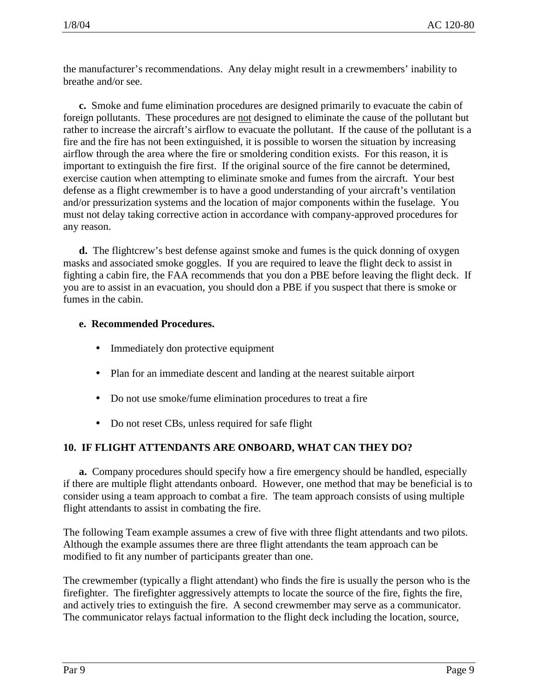the manufacturer's recommendations. Any delay might result in a crewmembers' inability to breathe and/or see.

**c.** Smoke and fume elimination procedures are designed primarily to evacuate the cabin of foreign pollutants. These procedures are not designed to eliminate the cause of the pollutant but rather to increase the aircraft's airflow to evacuate the pollutant. If the cause of the pollutant is a fire and the fire has not been extinguished, it is possible to worsen the situation by increasing airflow through the area where the fire or smoldering condition exists. For this reason, it is important to extinguish the fire first. If the original source of the fire cannot be determined, exercise caution when attempting to eliminate smoke and fumes from the aircraft. Your best defense as a flight crewmember is to have a good understanding of your aircraft's ventilation and/or pressurization systems and the location of major components within the fuselage. You must not delay taking corrective action in accordance with company-approved procedures for any reason.

**d.** The flightcrew's best defense against smoke and fumes is the quick donning of oxygen masks and associated smoke goggles. If you are required to leave the flight deck to assist in fighting a cabin fire, the FAA recommends that you don a PBE before leaving the flight deck. If you are to assist in an evacuation, you should don a PBE if you suspect that there is smoke or fumes in the cabin.

#### **e. Recommended Procedures.**

- Immediately don protective equipment
- Plan for an immediate descent and landing at the nearest suitable airport
- Do not use smoke/fume elimination procedures to treat a fire
- Do not reset CBs, unless required for safe flight

#### **10. IF FLIGHT ATTENDANTS ARE ONBOARD, WHAT CAN THEY DO?**

**a.** Company procedures should specify how a fire emergency should be handled, especially if there are multiple flight attendants onboard. However, one method that may be beneficial is to consider using a team approach to combat a fire. The team approach consists of using multiple flight attendants to assist in combating the fire.

The following Team example assumes a crew of five with three flight attendants and two pilots. Although the example assumes there are three flight attendants the team approach can be modified to fit any number of participants greater than one.

The crewmember (typically a flight attendant) who finds the fire is usually the person who is the firefighter. The firefighter aggressively attempts to locate the source of the fire, fights the fire, and actively tries to extinguish the fire. A second crewmember may serve as a communicator. The communicator relays factual information to the flight deck including the location, source,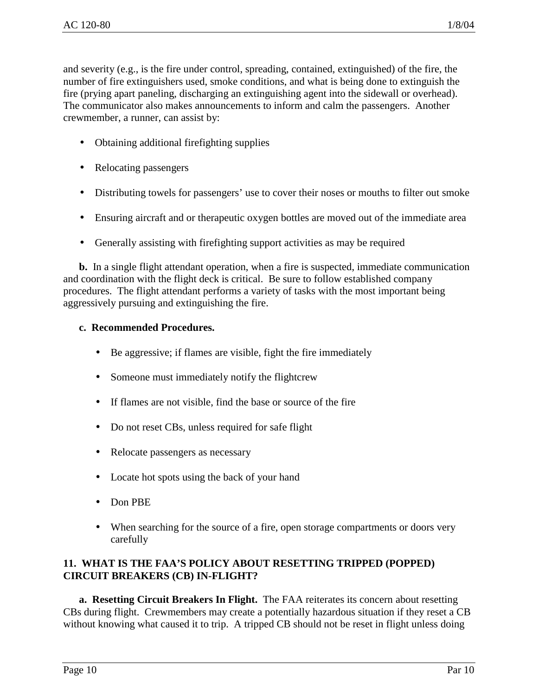and severity (e.g., is the fire under control, spreading, contained, extinguished) of the fire, the number of fire extinguishers used, smoke conditions, and what is being done to extinguish the fire (prying apart paneling, discharging an extinguishing agent into the sidewall or overhead). The communicator also makes announcements to inform and calm the passengers. Another crewmember, a runner, can assist by:

- Obtaining additional firefighting supplies
- Relocating passengers
- Distributing towels for passengers' use to cover their noses or mouths to filter out smoke
- Ensuring aircraft and or therapeutic oxygen bottles are moved out of the immediate area
- Generally assisting with firefighting support activities as may be required

**b.** In a single flight attendant operation, when a fire is suspected, immediate communication and coordination with the flight deck is critical. Be sure to follow established company procedures. The flight attendant performs a variety of tasks with the most important being aggressively pursuing and extinguishing the fire.

#### **c. Recommended Procedures.**

- Be aggressive; if flames are visible, fight the fire immediately
- Someone must immediately notify the flightcrew
- If flames are not visible, find the base or source of the fire
- Do not reset CBs, unless required for safe flight
- Relocate passengers as necessary
- Locate hot spots using the back of your hand
- Don PBE
- When searching for the source of a fire, open storage compartments or doors very carefully

#### **11. WHAT IS THE FAA'S POLICY ABOUT RESETTING TRIPPED (POPPED) CIRCUIT BREAKERS (CB) IN-FLIGHT?**

**a. Resetting Circuit Breakers In Flight.** The FAA reiterates its concern about resetting CBs during flight. Crewmembers may create a potentially hazardous situation if they reset a CB without knowing what caused it to trip. A tripped CB should not be reset in flight unless doing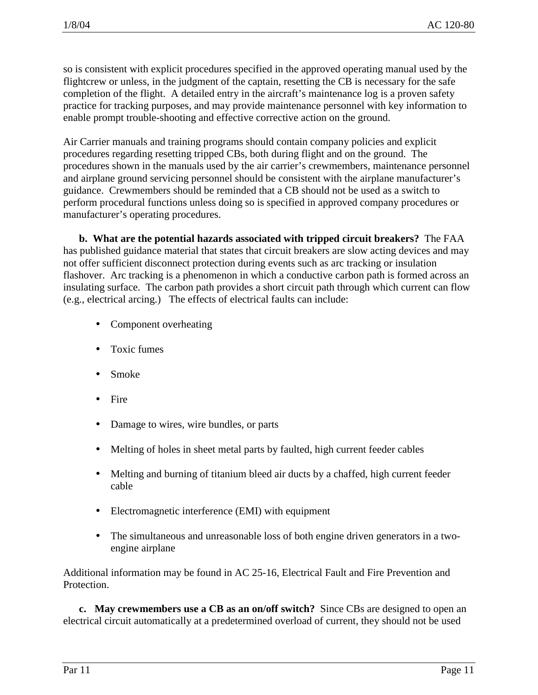so is consistent with explicit procedures specified in the approved operating manual used by the flightcrew or unless, in the judgment of the captain, resetting the CB is necessary for the safe completion of the flight. A detailed entry in the aircraft's maintenance log is a proven safety practice for tracking purposes, and may provide maintenance personnel with key information to enable prompt trouble-shooting and effective corrective action on the ground.

Air Carrier manuals and training programs should contain company policies and explicit procedures regarding resetting tripped CBs, both during flight and on the ground. The procedures shown in the manuals used by the air carrier's crewmembers, maintenance personnel and airplane ground servicing personnel should be consistent with the airplane manufacturer's guidance. Crewmembers should be reminded that a CB should not be used as a switch to perform procedural functions unless doing so is specified in approved company procedures or manufacturer's operating procedures.

**b. What are the potential hazards associated with tripped circuit breakers?** The FAA has published guidance material that states that circuit breakers are slow acting devices and may not offer sufficient disconnect protection during events such as arc tracking or insulation flashover. Arc tracking is a phenomenon in which a conductive carbon path is formed across an insulating surface. The carbon path provides a short circuit path through which current can flow (e.g., electrical arcing.) The effects of electrical faults can include:

- Component overheating
- Toxic fumes
- Smoke
- Fire
- Damage to wires, wire bundles, or parts
- Melting of holes in sheet metal parts by faulted, high current feeder cables
- Melting and burning of titanium bleed air ducts by a chaffed, high current feeder cable
- Electromagnetic interference (EMI) with equipment
- The simultaneous and unreasonable loss of both engine driven generators in a twoengine airplane

Additional information may be found in AC 25-16, Electrical Fault and Fire Prevention and Protection.

**c. May crewmembers use a CB as an on/off switch?** Since CBs are designed to open an electrical circuit automatically at a predetermined overload of current, they should not be used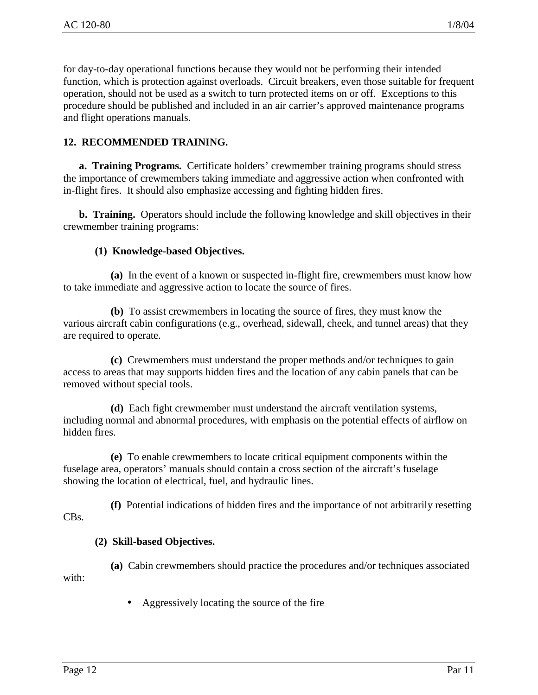for day-to-day operational functions because they would not be performing their intended function, which is protection against overloads. Circuit breakers, even those suitable for frequent operation, should not be used as a switch to turn protected items on or off. Exceptions to this procedure should be published and included in an air carrier's approved maintenance programs and flight operations manuals.

### **12. RECOMMENDED TRAINING.**

**a. Training Programs.** Certificate holders' crewmember training programs should stress the importance of crewmembers taking immediate and aggressive action when confronted with in-flight fires. It should also emphasize accessing and fighting hidden fires.

**b. Training.** Operators should include the following knowledge and skill objectives in their crewmember training programs:

#### **(1) Knowledge-based Objectives.**

**(a)** In the event of a known or suspected in-flight fire, crewmembers must know how to take immediate and aggressive action to locate the source of fires.

**(b)** To assist crewmembers in locating the source of fires, they must know the various aircraft cabin configurations (e.g., overhead, sidewall, cheek, and tunnel areas) that they are required to operate.

**(c)** Crewmembers must understand the proper methods and/or techniques to gain access to areas that may supports hidden fires and the location of any cabin panels that can be removed without special tools.

**(d)** Each fight crewmember must understand the aircraft ventilation systems, including normal and abnormal procedures, with emphasis on the potential effects of airflow on hidden fires.

**(e)** To enable crewmembers to locate critical equipment components within the fuselage area, operators' manuals should contain a cross section of the aircraft's fuselage showing the location of electrical, fuel, and hydraulic lines.

**(f)** Potential indications of hidden fires and the importance of not arbitrarily resetting CBs.

#### **(2) Skill-based Objectives.**

**(a)** Cabin crewmembers should practice the procedures and/or techniques associated with:

• Aggressively locating the source of the fire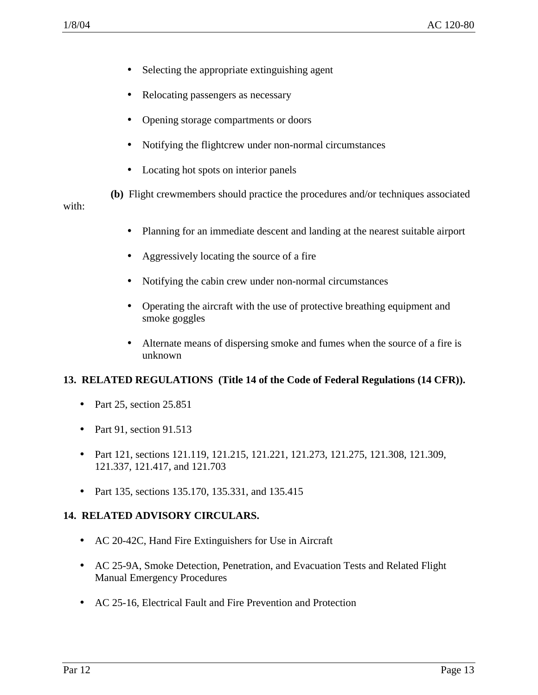- Selecting the appropriate extinguishing agent
- Relocating passengers as necessary
- Opening storage compartments or doors
- Notifying the flightcrew under non-normal circumstances
- Locating hot spots on interior panels

**(b)** Flight crewmembers should practice the procedures and/or techniques associated with:

- Planning for an immediate descent and landing at the nearest suitable airport
- Aggressively locating the source of a fire
- Notifying the cabin crew under non-normal circumstances
- Operating the aircraft with the use of protective breathing equipment and smoke goggles
- Alternate means of dispersing smoke and fumes when the source of a fire is unknown

# **13. RELATED REGULATIONS (Title 14 of the Code of Federal Regulations (14 CFR)).**

- Part 25, section 25.851
- Part 91, section 91.513
- Part 121, sections 121.119, 121.215, 121.221, 121.273, 121.275, 121.308, 121.309, 121.337, 121.417, and 121.703
- Part 135, sections 135.170, 135.331, and 135.415

#### **14. RELATED ADVISORY CIRCULARS.**

- AC 20-42C, Hand Fire Extinguishers for Use in Aircraft
- AC 25-9A, Smoke Detection, Penetration, and Evacuation Tests and Related Flight Manual Emergency Procedures
- AC 25-16, Electrical Fault and Fire Prevention and Protection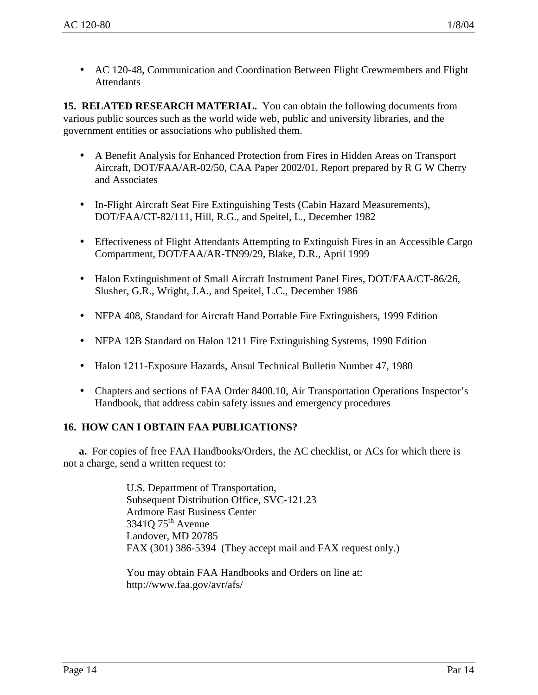• AC 120-48, Communication and Coordination Between Flight Crewmembers and Flight **Attendants** 

**15. RELATED RESEARCH MATERIAL.** You can obtain the following documents from various public sources such as the world wide web, public and university libraries, and the government entities or associations who published them.

- A Benefit Analysis for Enhanced Protection from Fires in Hidden Areas on Transport Aircraft, DOT/FAA/AR-02/50, CAA Paper 2002/01, Report prepared by R G W Cherry and Associates
- In-Flight Aircraft Seat Fire Extinguishing Tests (Cabin Hazard Measurements), DOT/FAA/CT-82/111, Hill, R.G., and Speitel, L., December 1982
- Effectiveness of Flight Attendants Attempting to Extinguish Fires in an Accessible Cargo Compartment, DOT/FAA/AR-TN99/29, Blake, D.R., April 1999
- Halon Extinguishment of Small Aircraft Instrument Panel Fires, DOT/FAA/CT-86/26, Slusher, G.R., Wright, J.A., and Speitel, L.C., December 1986
- NFPA 408, Standard for Aircraft Hand Portable Fire Extinguishers, 1999 Edition
- NFPA 12B Standard on Halon 1211 Fire Extinguishing Systems, 1990 Edition
- Halon 1211-Exposure Hazards, Ansul Technical Bulletin Number 47, 1980
- Chapters and sections of FAA Order 8400.10, Air Transportation Operations Inspector's Handbook, that address cabin safety issues and emergency procedures

# **16. HOW CAN I OBTAIN FAA PUBLICATIONS?**

**a.** For copies of free FAA Handbooks/Orders, the AC checklist, or ACs for which there is not a charge, send a written request to:

> U.S. Department of Transportation, Subsequent Distribution Office, SVC-121.23 Ardmore East Business Center 33410 75<sup>th</sup> Avenue Landover, MD 20785 FAX (301) 386-5394 (They accept mail and FAX request only.)

You may obtain FAA Handbooks and Orders on line at: http://www.faa.gov/avr/afs/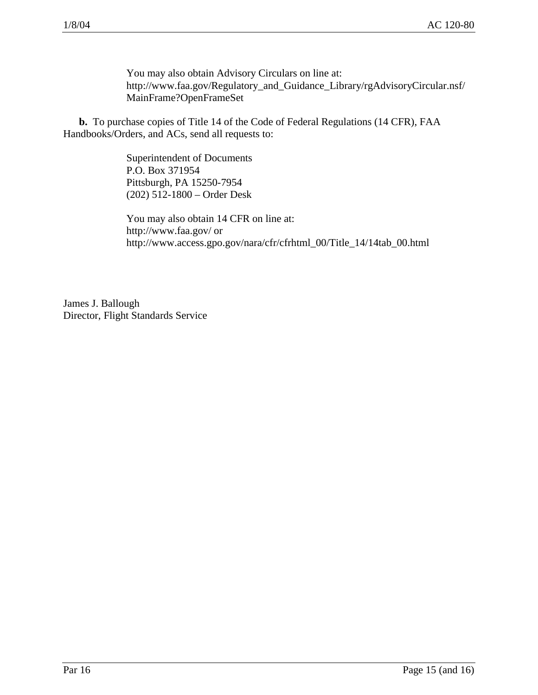You may also obtain Advisory Circulars on line at: http://www.faa.gov/Regulatory\_and\_Guidance\_Library/rgAdvisoryCircular.nsf/ MainFrame?OpenFrameSet

**b.** To purchase copies of Title 14 of the Code of Federal Regulations (14 CFR), FAA Handbooks/Orders, and ACs, send all requests to:

> Superintendent of Documents P.O. Box 371954 Pittsburgh, PA 15250-7954 (202) 512-1800 – Order Desk

You may also obtain 14 CFR on line at: http://www.faa.gov/ or http://www.access.gpo.gov/nara/cfr/cfrhtml\_00/Title\_14/14tab\_00.html

James J. Ballough Director, Flight Standards Service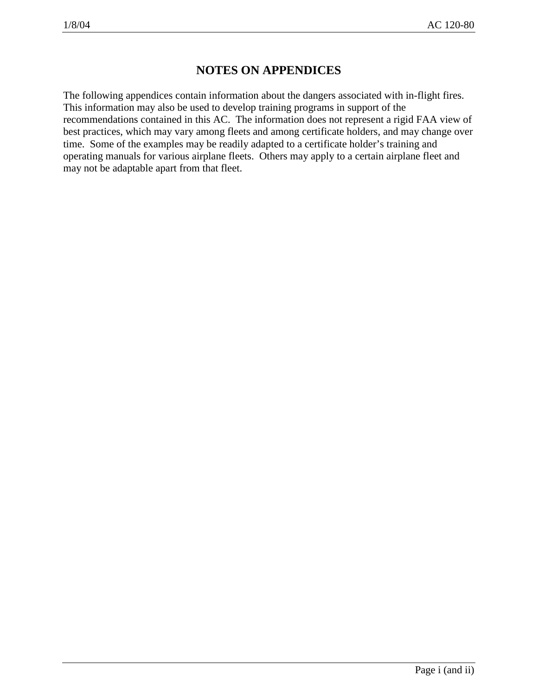# **NOTES ON APPENDICES**

The following appendices contain information about the dangers associated with in-flight fires. This information may also be used to develop training programs in support of the recommendations contained in this AC. The information does not represent a rigid FAA view of best practices, which may vary among fleets and among certificate holders, and may change over time. Some of the examples may be readily adapted to a certificate holder's training and operating manuals for various airplane fleets. Others may apply to a certain airplane fleet and may not be adaptable apart from that fleet.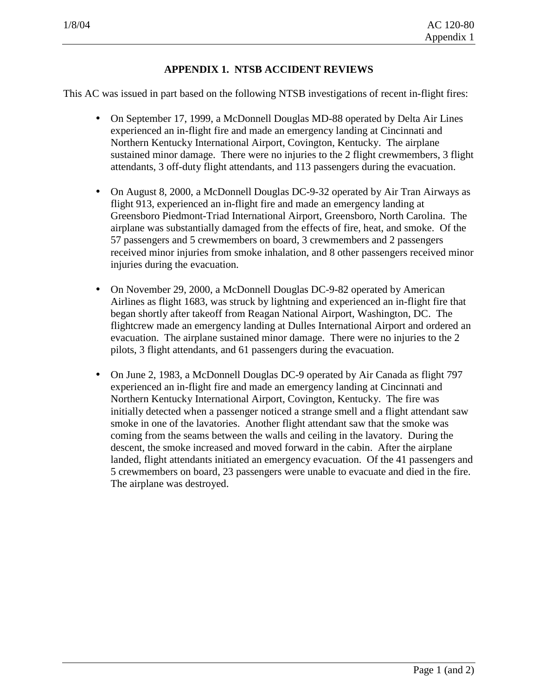#### **APPENDIX 1. NTSB ACCIDENT REVIEWS**

This AC was issued in part based on the following NTSB investigations of recent in-flight fires:

- On September 17, 1999, a McDonnell Douglas MD-88 operated by Delta Air Lines experienced an in-flight fire and made an emergency landing at Cincinnati and Northern Kentucky International Airport, Covington, Kentucky. The airplane sustained minor damage. There were no injuries to the 2 flight crewmembers, 3 flight attendants, 3 off-duty flight attendants, and 113 passengers during the evacuation.
- On August 8, 2000, a McDonnell Douglas DC-9-32 operated by Air Tran Airways as flight 913, experienced an in-flight fire and made an emergency landing at Greensboro Piedmont-Triad International Airport, Greensboro, North Carolina. The airplane was substantially damaged from the effects of fire, heat, and smoke. Of the 57 passengers and 5 crewmembers on board, 3 crewmembers and 2 passengers received minor injuries from smoke inhalation, and 8 other passengers received minor injuries during the evacuation.
- On November 29, 2000, a McDonnell Douglas DC-9-82 operated by American Airlines as flight 1683, was struck by lightning and experienced an in-flight fire that began shortly after takeoff from Reagan National Airport, Washington, DC. The flightcrew made an emergency landing at Dulles International Airport and ordered an evacuation. The airplane sustained minor damage. There were no injuries to the 2 pilots, 3 flight attendants, and 61 passengers during the evacuation.
- On June 2, 1983, a McDonnell Douglas DC-9 operated by Air Canada as flight 797 experienced an in-flight fire and made an emergency landing at Cincinnati and Northern Kentucky International Airport, Covington, Kentucky. The fire was initially detected when a passenger noticed a strange smell and a flight attendant saw smoke in one of the lavatories. Another flight attendant saw that the smoke was coming from the seams between the walls and ceiling in the lavatory. During the descent, the smoke increased and moved forward in the cabin. After the airplane landed, flight attendants initiated an emergency evacuation. Of the 41 passengers and 5 crewmembers on board, 23 passengers were unable to evacuate and died in the fire. The airplane was destroyed.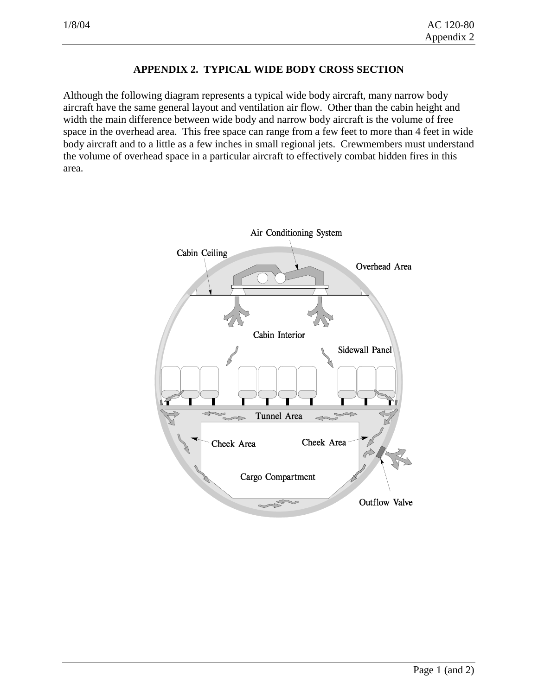# **APPENDIX 2. TYPICAL WIDE BODY CROSS SECTION**

Although the following diagram represents a typical wide body aircraft, many narrow body aircraft have the same general layout and ventilation air flow. Other than the cabin height and width the main difference between wide body and narrow body aircraft is the volume of free space in the overhead area. This free space can range from a few feet to more than 4 feet in wide body aircraft and to a little as a few inches in small regional jets. Crewmembers must understand the volume of overhead space in a particular aircraft to effectively combat hidden fires in this area.

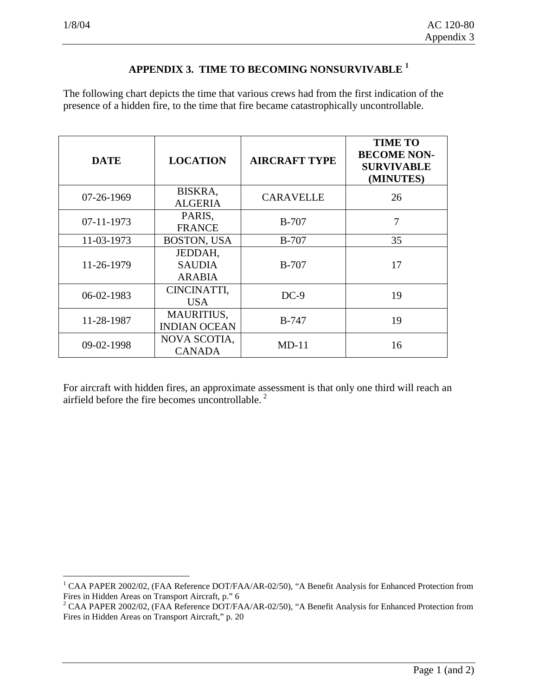# **APPENDIX 3. TIME TO BECOMING NONSURVIVABLE 1**

The following chart depicts the time that various crews had from the first indication of the presence of a hidden fire, to the time that fire became catastrophically uncontrollable.

| <b>DATE</b> | <b>LOCATION</b>                           | <b>AIRCRAFT TYPE</b> | <b>TIME TO</b><br><b>BECOME NON-</b><br><b>SURVIVABLE</b><br>(MINUTES) |
|-------------|-------------------------------------------|----------------------|------------------------------------------------------------------------|
| 07-26-1969  | BISKRA,<br><b>ALGERIA</b>                 | <b>CARAVELLE</b>     | 26                                                                     |
| 07-11-1973  | PARIS,<br><b>FRANCE</b>                   | <b>B-707</b>         | 7                                                                      |
| 11-03-1973  | <b>BOSTON, USA</b>                        | <b>B-707</b>         | 35                                                                     |
| 11-26-1979  | JEDDAH,<br><b>SAUDIA</b><br><b>ARABIA</b> | $B-707$              | 17                                                                     |
| 06-02-1983  | CINCINATTI,<br><b>USA</b>                 | $DC-9$               | 19                                                                     |
| 11-28-1987  | MAURITIUS,<br><b>INDIAN OCEAN</b>         | <b>B-747</b>         | 19                                                                     |
| 09-02-1998  | NOVA SCOTIA,<br><b>CANADA</b>             | $MD-11$              | 16                                                                     |

For aircraft with hidden fires, an approximate assessment is that only one third will reach an airfield before the fire becomes uncontrollable.<sup>2</sup>

 1 CAA PAPER 2002/02, (FAA Reference DOT/FAA/AR-02/50), "A Benefit Analysis for Enhanced Protection from Fires in Hidden Areas on Transport Aircraft, p." 6

<sup>&</sup>lt;sup>2</sup> CAA PAPER 2002/02, (FAA Reference DOT/FAA/AR-02/50), "A Benefit Analysis for Enhanced Protection from Fires in Hidden Areas on Transport Aircraft," p. 20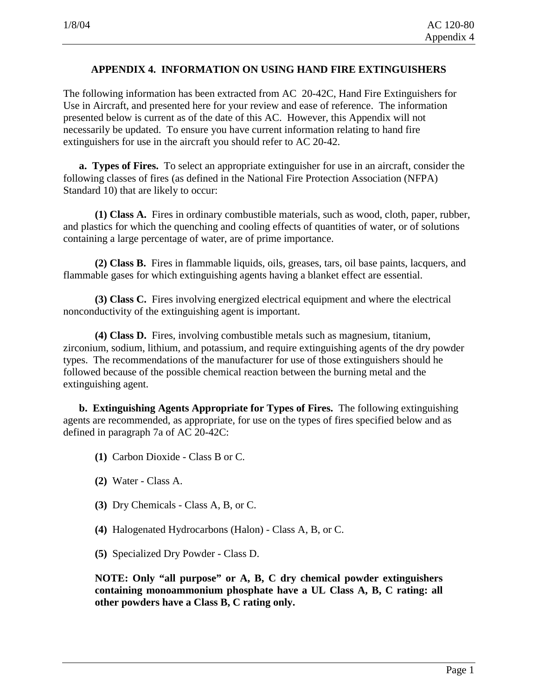#### **APPENDIX 4. INFORMATION ON USING HAND FIRE EXTINGUISHERS**

The following information has been extracted from AC 20-42C, Hand Fire Extinguishers for Use in Aircraft, and presented here for your review and ease of reference. The information presented below is current as of the date of this AC. However, this Appendix will not necessarily be updated. To ensure you have current information relating to hand fire extinguishers for use in the aircraft you should refer to AC 20-42.

**a. Types of Fires.** To select an appropriate extinguisher for use in an aircraft, consider the following classes of fires (as defined in the National Fire Protection Association (NFPA) Standard 10) that are likely to occur:

**(1) Class A.** Fires in ordinary combustible materials, such as wood, cloth, paper, rubber, and plastics for which the quenching and cooling effects of quantities of water, or of solutions containing a large percentage of water, are of prime importance.

**(2) Class B.** Fires in flammable liquids, oils, greases, tars, oil base paints, lacquers, and flammable gases for which extinguishing agents having a blanket effect are essential.

**(3) Class C.** Fires involving energized electrical equipment and where the electrical nonconductivity of the extinguishing agent is important.

**(4) Class D.** Fires, involving combustible metals such as magnesium, titanium, zirconium, sodium, lithium, and potassium, and require extinguishing agents of the dry powder types. The recommendations of the manufacturer for use of those extinguishers should he followed because of the possible chemical reaction between the burning metal and the extinguishing agent.

**b. Extinguishing Agents Appropriate for Types of Fires.** The following extinguishing agents are recommended, as appropriate, for use on the types of fires specified below and as defined in paragraph 7a of AC 20-42C:

- **(1)** Carbon Dioxide Class B or C.
- **(2)** Water Class A.
- **(3)** Dry Chemicals Class A, B, or C.
- **(4)** Halogenated Hydrocarbons (Halon) Class A, B, or C.
- **(5)** Specialized Dry Powder Class D.

**NOTE: Only "all purpose" or A, B, C dry chemical powder extinguishers containing monoammonium phosphate have a UL Class A, B, C rating: all other powders have a Class B, C rating only.**